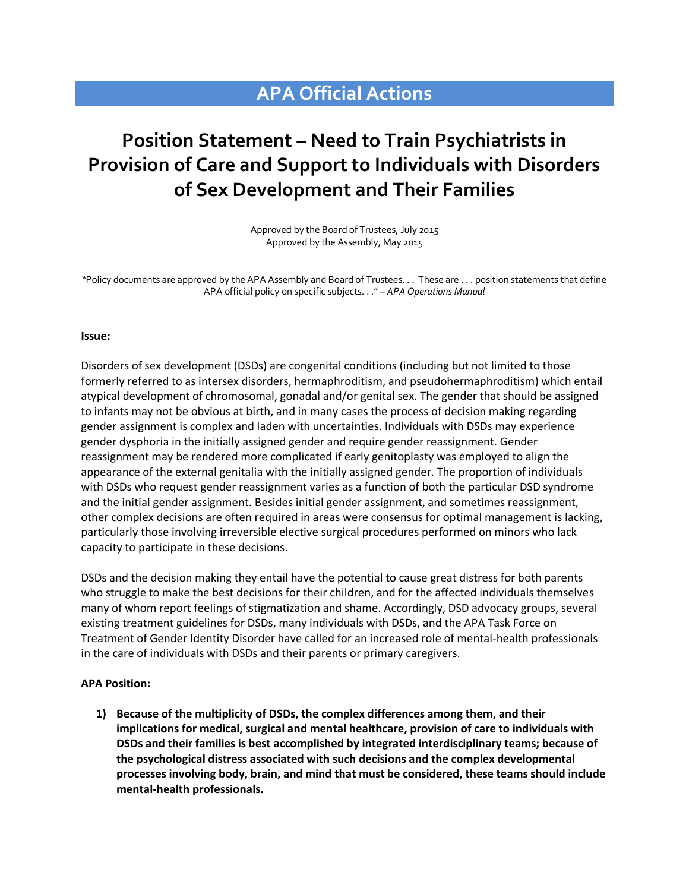## **APA Official Actions**

## **Position Statement – Need to Train Psychiatrists in Provision of Care and Support to Individuals with Disorders of Sex Development and Their Families**

Approved by the Board of Trustees, July 2015 Approved by the Assembly, May 2015

"Policy documents are approved by the APA Assembly and Board of Trustees. . . These are . . . position statements that define APA official policy on specific subjects. . ." – *APA Operations Manual*

## **Issue:**

Disorders of sex development (DSDs) are congenital conditions (including but not limited to those formerly referred to as intersex disorders, hermaphroditism, and pseudohermaphroditism) which entail atypical development of chromosomal, gonadal and/or genital sex. The gender that should be assigned to infants may not be obvious at birth, and in many cases the process of decision making regarding gender assignment is complex and laden with uncertainties. Individuals with DSDs may experience gender dysphoria in the initially assigned gender and require gender reassignment. Gender reassignment may be rendered more complicated if early genitoplasty was employed to align the appearance of the external genitalia with the initially assigned gender. The proportion of individuals with DSDs who request gender reassignment varies as a function of both the particular DSD syndrome and the initial gender assignment. Besides initial gender assignment, and sometimes reassignment, other complex decisions are often required in areas were consensus for optimal management is lacking, particularly those involving irreversible elective surgical procedures performed on minors who lack capacity to participate in these decisions.

DSDs and the decision making they entail have the potential to cause great distress for both parents who struggle to make the best decisions for their children, and for the affected individuals themselves many of whom report feelings of stigmatization and shame. Accordingly, DSD advocacy groups, several existing treatment guidelines for DSDs, many individuals with DSDs, and the APA Task Force on Treatment of Gender Identity Disorder have called for an increased role of mental-health professionals in the care of individuals with DSDs and their parents or primary caregivers.

## **APA Position:**

**1) Because of the multiplicity of DSDs, the complex differences among them, and their implications for medical, surgical and mental healthcare, provision of care to individuals with DSDs and their families is best accomplished by integrated interdisciplinary teams; because of the psychological distress associated with such decisions and the complex developmental processes involving body, brain, and mind that must be considered, these teams should include mental-health professionals.**